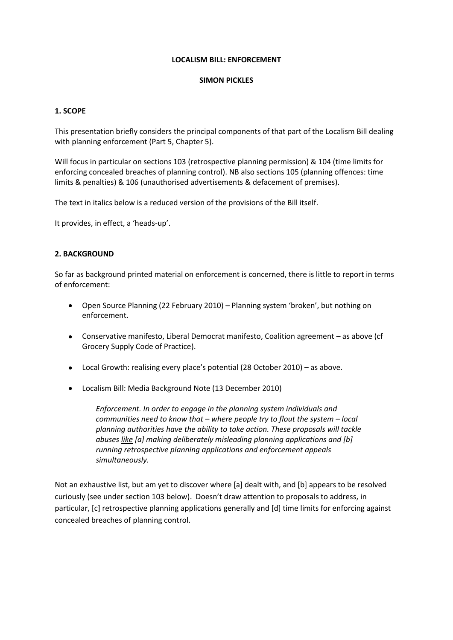#### **LOCALISM BILL: ENFORCEMENT**

#### **SIMON PICKLES**

### **1. SCOPE**

This presentation briefly considers the principal components of that part of the Localism Bill dealing with planning enforcement (Part 5, Chapter 5).

Will focus in particular on sections 103 (retrospective planning permission) & 104 (time limits for enforcing concealed breaches of planning control). NB also sections 105 (planning offences: time limits & penalties) & 106 (unauthorised advertisements & defacement of premises).

The text in italics below is a reduced version of the provisions of the Bill itself.

It provides, in effect, a 'heads-up'.

# **2. BACKGROUND**

So far as background printed material on enforcement is concerned, there is little to report in terms of enforcement:

- Open Source Planning (22 February 2010) Planning system 'broken', but nothing on enforcement.
- Conservative manifesto, Liberal Democrat manifesto, Coalition agreement as above (cf Grocery Supply Code of Practice).
- Local Growth: realising every place's potential (28 October 2010) as above.
- Localism Bill: Media Background Note (13 December 2010)

*Enforcement. In order to engage in the planning system individuals and communities need to know that – where people try to flout the system – local planning authorities have the ability to take action. These proposals will tackle abuses like [a] making deliberately misleading planning applications and [b] running retrospective planning applications and enforcement appeals simultaneously.*

Not an exhaustive list, but am yet to discover where [a] dealt with, and [b] appears to be resolved curiously (see under section 103 below). Doesn't draw attention to proposals to address, in particular, [c] retrospective planning applications generally and [d] time limits for enforcing against concealed breaches of planning control.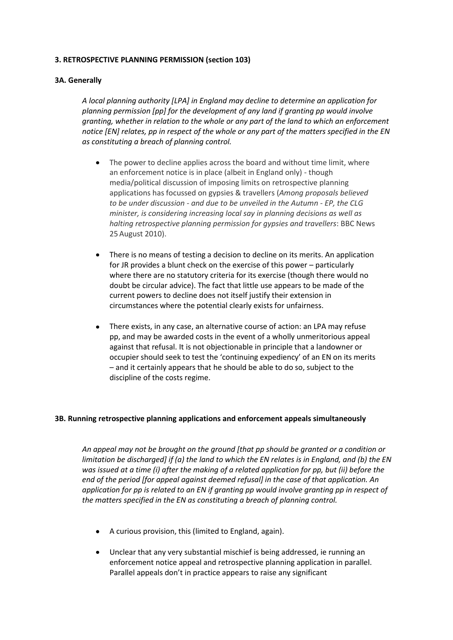## **3. RETROSPECTIVE PLANNING PERMISSION (section 103)**

## **3A. Generally**

*A local planning authority [LPA] in England may decline to determine an application for planning permission [pp] for the development of any land if granting pp would involve granting, whether in relation to the whole or any part of the land to which an enforcement notice [EN] relates, pp in respect of the whole or any part of the matters specified in the EN as constituting a breach of planning control.*

- $\bullet$ The power to decline applies across the board and without time limit, where an enforcement notice is in place (albeit in England only) - though media/political discussion of imposing limits on retrospective planning applications has focussed on gypsies & travellers (*Among proposals believed to be under discussion - and due to be unveiled in the Autumn - EP, the CLG minister, is considering increasing local say in planning decisions as well as halting retrospective planning permission for gypsies and travellers*: BBC News 25 August 2010).
- There is no means of testing a decision to decline on its merits. An application for JR provides a blunt check on the exercise of this power – particularly where there are no statutory criteria for its exercise (though there would no doubt be circular advice). The fact that little use appears to be made of the current powers to decline does not itself justify their extension in circumstances where the potential clearly exists for unfairness.
- There exists, in any case, an alternative course of action: an LPA may refuse pp, and may be awarded costs in the event of a wholly unmeritorious appeal against that refusal. It is not objectionable in principle that a landowner or occupier should seek to test the 'continuing expediency' of an EN on its merits – and it certainly appears that he should be able to do so, subject to the discipline of the costs regime.

### **3B. Running retrospective planning applications and enforcement appeals simultaneously**

*An appeal may not be brought on the ground [that pp should be granted or a condition or limitation be discharged] if (a) the land to which the EN relates is in England, and (b) the EN was issued at a time (i) after the making of a related application for pp, but (ii) before the end of the period [for appeal against deemed refusal] in the case of that application. An application for pp is related to an EN if granting pp would involve granting pp in respect of the matters specified in the EN as constituting a breach of planning control.*

- A curious provision, this (limited to England, again).
- Unclear that any very substantial mischief is being addressed, ie running an enforcement notice appeal and retrospective planning application in parallel. Parallel appeals don't in practice appears to raise any significant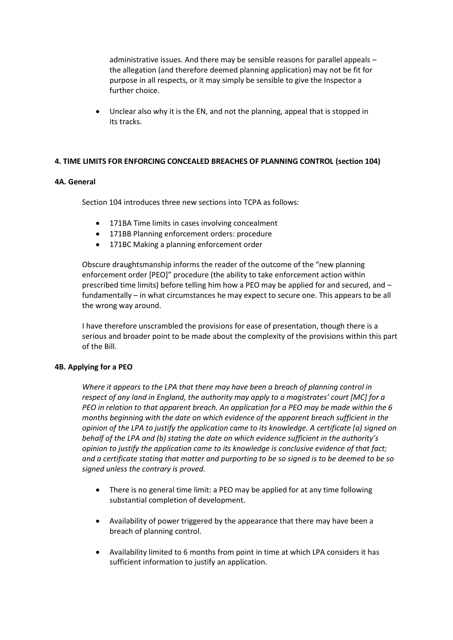administrative issues. And there may be sensible reasons for parallel appeals – the allegation (and therefore deemed planning application) may not be fit for purpose in all respects, or it may simply be sensible to give the Inspector a further choice.

Unclear also why it is the EN, and not the planning, appeal that is stopped in its tracks.

### **4. TIME LIMITS FOR ENFORCING CONCEALED BREACHES OF PLANNING CONTROL (section 104)**

# **4A. General**

Section 104 introduces three new sections into TCPA as follows:

- 171BA Time limits in cases involving concealment
- 171BB Planning enforcement orders: procedure
- 171BC Making a planning enforcement order

Obscure draughtsmanship informs the reader of the outcome of the "new planning enforcement order [PEO]" procedure (the ability to take enforcement action within prescribed time limits) before telling him how a PEO may be applied for and secured, and – fundamentally – in what circumstances he may expect to secure one. This appears to be all the wrong way around.

I have therefore unscrambled the provisions for ease of presentation, though there is a serious and broader point to be made about the complexity of the provisions within this part of the Bill.

### **4B. Applying for a PEO**

*Where it appears to the LPA that there may have been a breach of planning control in respect of any land in England, the authority may apply to a magistrates' court [MC] for a PEO in relation to that apparent breach. An application for a PEO may be made within the 6 months beginning with the date on which evidence of the apparent breach sufficient in the opinion of the LPA to justify the application came to its knowledge. A certificate (a) signed on behalf of the LPA and (b) stating the date on which evidence sufficient in the authority's opinion to justify the application came to its knowledge is conclusive evidence of that fact; and a certificate stating that matter and purporting to be so signed is to be deemed to be so signed unless the contrary is proved.*

- There is no general time limit: a PEO may be applied for at any time following substantial completion of development.
- Availability of power triggered by the appearance that there may have been a breach of planning control.
- Availability limited to 6 months from point in time at which LPA considers it has sufficient information to justify an application.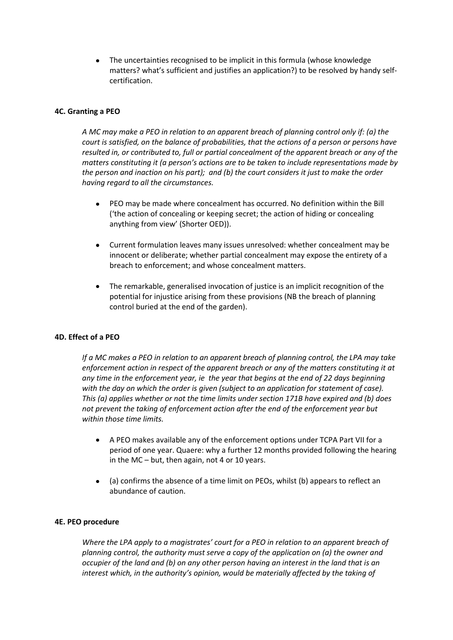The uncertainties recognised to be implicit in this formula (whose knowledge  $\bullet$ matters? what's sufficient and justifies an application?) to be resolved by handy selfcertification.

### **4C. Granting a PEO**

*A MC may make a PEO in relation to an apparent breach of planning control only if: (a) the court is satisfied, on the balance of probabilities, that the actions of a person or persons have resulted in, or contributed to, full or partial concealment of the apparent breach or any of the matters constituting it (a person's actions are to be taken to include representations made by the person and inaction on his part); and (b) the court considers it just to make the order having regard to all the circumstances.*

- PEO may be made where concealment has occurred. No definition within the Bill ('the action of concealing or keeping secret; the action of hiding or concealing anything from view' (Shorter OED)).
- Current formulation leaves many issues unresolved: whether concealment may be innocent or deliberate; whether partial concealment may expose the entirety of a breach to enforcement; and whose concealment matters.
- The remarkable, generalised invocation of justice is an implicit recognition of the potential for injustice arising from these provisions (NB the breach of planning control buried at the end of the garden).

### **4D. Effect of a PEO**

*If a MC makes a PEO in relation to an apparent breach of planning control, the LPA may take* enforcement action in respect of the apparent breach or any of the matters constituting it at *any time in the enforcement year, ie the year that begins at the end of 22 days beginning with the day on which the order is given (subject to an application for statement of case). This (a) applies whether or not the time limits under section 171B have expired and (b) does not prevent the taking of enforcement action after the end of the enforcement year but within those time limits.*

- A PEO makes available any of the enforcement options under TCPA Part VII for a period of one year. Quaere: why a further 12 months provided following the hearing in the MC – but, then again, not 4 or 10 years.
- (a) confirms the absence of a time limit on PEOs, whilst (b) appears to reflect an abundance of caution.

### **4E. PEO procedure**

*Where the LPA apply to a magistrates' court for a PEO in relation to an apparent breach of planning control, the authority must serve a copy of the application on (a) the owner and occupier of the land and (b) on any other person having an interest in the land that is an interest which, in the authority's opinion, would be materially affected by the taking of*